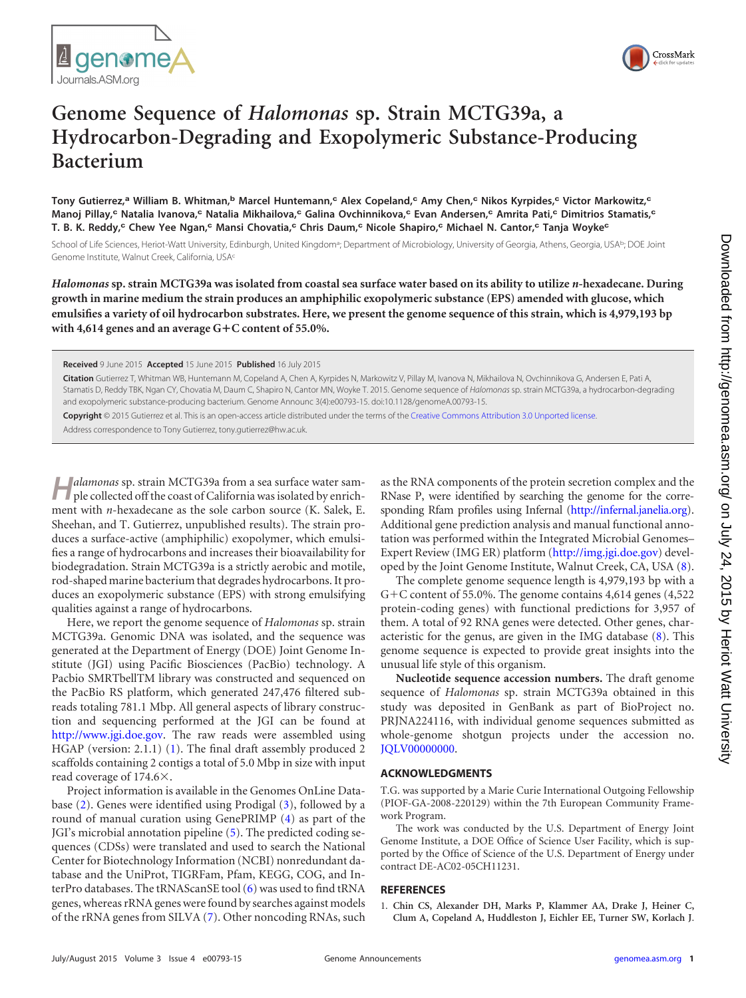



## **Genome Sequence of** *Halomonas* **sp. Strain MCTG39a, a Hydrocarbon-Degrading and Exopolymeric Substance-Producing Bacterium**

**Tony Gutierrez,<sup>a</sup> William B. Whitman,<sup>b</sup> Marcel Huntemann,<sup>c</sup> Alex Copeland,<sup>c</sup> Amy Chen,<sup>c</sup> Nikos Kyrpides,<sup>c</sup> Victor Markowitz,<sup>c</sup> Manoj Pillay,<sup>c</sup> Natalia Ivanova,<sup>c</sup> Natalia Mikhailova,<sup>c</sup> Galina Ovchinnikova,<sup>c</sup> Evan Andersen,<sup>c</sup> Amrita Pati,<sup>c</sup> Dimitrios Stamatis,<sup>c</sup> T. B. K. Reddy,<sup>c</sup> Chew Yee Ngan,<sup>c</sup> Mansi Chovatia,<sup>c</sup> Chris Daum,<sup>c</sup> Nicole Shapiro,<sup>c</sup> Michael N. Cantor,<sup>c</sup> Tanja Woyke<sup>c</sup>**

School of Life Sciences, Heriot-Watt University, Edinburgh, United Kingdom<sup>a</sup>; Department of Microbiology, University of Georgia, Athens, Georgia, USA<sup>b</sup>; DOE Joint Genome Institute, Walnut Creek, California, USAc

*Halomonas* **sp. strain MCTG39a was isolated from coastal sea surface water based on its ability to utilize** *n***-hexadecane. During growth in marine medium the strain produces an amphiphilic exopolymeric substance (EPS) amended with glucose, which emulsifies a variety of oil hydrocarbon substrates. Here, we present the genome sequence of this strain, which is 4,979,193 bp with 4,614 genes and an average G**-**C content of 55.0%.**

**Received** 9 June 2015 **Accepted** 15 June 2015 **Published** 16 July 2015

**Citation** Gutierrez T, Whitman WB, Huntemann M, Copeland A, Chen A, Kyrpides N, Markowitz V, Pillay M, Ivanova N, Mikhailova N, Ovchinnikova G, Andersen E, Pati A, Stamatis D, Reddy TBK, Ngan CY, Chovatia M, Daum C, Shapiro N, Cantor MN, Woyke T. 2015. Genome sequence of *Halomonas* sp. strain MCTG39a, a hydrocarbon-degrading and exopolymeric substance-producing bacterium. Genome Announc 3(4):e00793-15. doi:10.1128/genomeA.00793-15.

**Copyright** © 2015 Gutierrez et al. This is an open-access article distributed under the terms of the Creative Commons Attribution 3.0 Unported license.

Address correspondence to Tony Gutierrez, tony.gutierrez@hw.ac.uk.

**H***alamonas* sp. strain MCTG39a from a sea surface water sample collected off the coast of California was isolated by enrichment with *n*-hexadecane as the sole carbon source (K. Salek, E. Sheehan, and T. Gutierrez, unpublished results). The strain produces a surface-active (amphiphilic) exopolymer, which emulsifies a range of hydrocarbons and increases their bioavailability for biodegradation. Strain MCTG39a is a strictly aerobic and motile, rod-shaped marine bacterium that degrades hydrocarbons. It produces an exopolymeric substance (EPS) with strong emulsifying qualities against a range of hydrocarbons.

Here, we report the genome sequence of *Halomonas* sp. strain MCTG39a. Genomic DNA was isolated, and the sequence was generated at the Department of Energy (DOE) Joint Genome Institute (JGI) using Pacific Biosciences (PacBio) technology. A Pacbio SMRTbellTM library was constructed and sequenced on the PacBio RS platform, which generated 247,476 filtered subreads totaling 781.1 Mbp. All general aspects of library construction and sequencing performed at the JGI can be found at http://www.jgi.doe.gov. The raw reads were assembled using HGAP (version: 2.1.1) [\(1\)](#page-0-0). The final draft assembly produced 2 scaffolds containing 2 contigs a total of 5.0 Mbp in size with input read coverage of  $174.6\times$ .

Project information is available in the Genomes OnLine Database [\(2\)](#page-1-0). Genes were identified using Prodigal [\(3\)](#page-1-1), followed by a round of manual curation using GenePRIMP [\(4\)](#page-1-2) as part of the JGI's microbial annotation pipeline [\(5\)](#page-1-3). The predicted coding sequences (CDSs) were translated and used to search the National Center for Biotechnology Information (NCBI) nonredundant database and the UniProt, TIGRFam, Pfam, KEGG, COG, and InterPro databases. The tRNAScanSE tool [\(6\)](#page-1-4) was used to find tRNA genes, whereas rRNA genes were found by searches against models of the rRNA genes from SILVA [\(7\)](#page-1-5). Other noncoding RNAs, such

as the RNA components of the protein secretion complex and the RNase P, were identified by searching the genome for the corresponding Rfam profiles using Infernal (http://infernal.janelia.org). Additional gene prediction analysis and manual functional annotation was performed within the Integrated Microbial Genomes– Expert Review (IMG ER) platform (http://img.jgi.doe.gov) devel-oped by the Joint Genome Institute, Walnut Creek, CA, USA [\(8\)](#page-1-6).

The complete genome sequence length is 4,979,193 bp with a G+C content of 55.0%. The genome contains  $4,614$  genes  $(4,522)$ protein-coding genes) with functional predictions for 3,957 of them. A total of 92 RNA genes were detected. Other genes, characteristic for the genus, are given in the IMG database [\(8\)](#page-1-6). This genome sequence is expected to provide great insights into the unusual life style of this organism.

**Nucleotide sequence accession numbers.** The draft genome sequence of *Halomonas* sp. strain MCTG39a obtained in this study was deposited in GenBank as part of BioProject no. PRJNA224116, with individual genome sequences submitted as whole-genome shotgun projects under the accession no. JQLV00000000.

## **ACKNOWLEDGMENTS**

T.G. was supported by a Marie Curie International Outgoing Fellowship (PIOF-GA-2008-220129) within the 7th European Community Framework Program.

The work was conducted by the U.S. Department of Energy Joint Genome Institute, a DOE Office of Science User Facility, which is supported by the Office of Science of the U.S. Department of Energy under contract DE-AC02-05CH11231.

## <span id="page-0-0"></span>**REFERENCES**

1. **Chin CS, Alexander DH, Marks P, Klammer AA, Drake J, Heiner C, Clum A, Copeland A, Huddleston J, Eichler EE, Turner SW, Korlach J**.